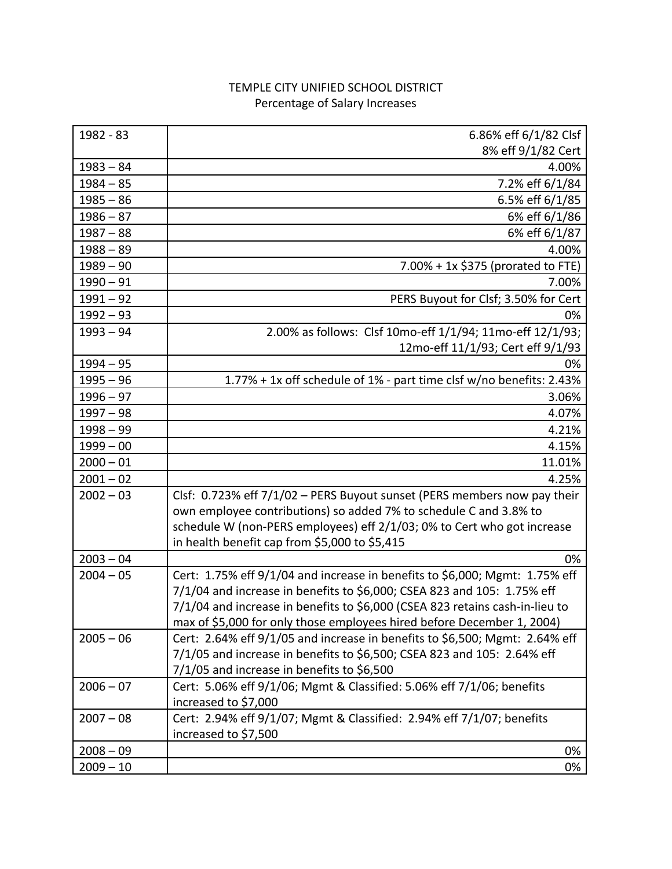## TEMPLE CITY UNIFIED SCHOOL DISTRICT Percentage of Salary Increases

| 1982 - 83   | 6.86% eff 6/1/82 Clsf                                                        |
|-------------|------------------------------------------------------------------------------|
|             | 8% eff 9/1/82 Cert                                                           |
| $1983 - 84$ | 4.00%                                                                        |
| $1984 - 85$ | 7.2% eff 6/1/84                                                              |
| $1985 - 86$ | 6.5% eff 6/1/85                                                              |
| $1986 - 87$ | 6% eff 6/1/86                                                                |
| $1987 - 88$ | 6% eff 6/1/87                                                                |
| $1988 - 89$ | 4.00%                                                                        |
| $1989 - 90$ | $7.00\% + 1x$ \$375 (prorated to FTE)                                        |
| $1990 - 91$ | 7.00%                                                                        |
| $1991 - 92$ | PERS Buyout for Clsf; 3.50% for Cert                                         |
| $1992 - 93$ | 0%                                                                           |
| $1993 - 94$ | 2.00% as follows: Clsf 10mo-eff 1/1/94; 11mo-eff 12/1/93;                    |
|             | 12mo-eff 11/1/93; Cert eff 9/1/93                                            |
| $1994 - 95$ | 0%                                                                           |
| $1995 - 96$ | 1.77% + 1x off schedule of 1% - part time clsf w/no benefits: 2.43%          |
| $1996 - 97$ | 3.06%                                                                        |
| $1997 - 98$ | 4.07%                                                                        |
| $1998 - 99$ | 4.21%                                                                        |
| $1999 - 00$ | 4.15%                                                                        |
| $2000 - 01$ | 11.01%                                                                       |
| $2001 - 02$ | 4.25%                                                                        |
| $2002 - 03$ | Clsf: 0.723% eff 7/1/02 - PERS Buyout sunset (PERS members now pay their     |
|             | own employee contributions) so added 7% to schedule C and 3.8% to            |
|             | schedule W (non-PERS employees) eff 2/1/03; 0% to Cert who got increase      |
|             | in health benefit cap from \$5,000 to \$5,415                                |
| $2003 - 04$ | 0%                                                                           |
| $2004 - 05$ | Cert: 1.75% eff 9/1/04 and increase in benefits to \$6,000; Mgmt: 1.75% eff  |
|             | 7/1/04 and increase in benefits to \$6,000; CSEA 823 and 105: 1.75% eff      |
|             | 7/1/04 and increase in benefits to \$6,000 (CSEA 823 retains cash-in-lieu to |
|             | max of \$5,000 for only those employees hired before December 1, 2004)       |
| $2005 - 06$ | Cert: 2.64% eff 9/1/05 and increase in benefits to \$6,500; Mgmt: 2.64% eff  |
|             | 7/1/05 and increase in benefits to \$6,500; CSEA 823 and 105: 2.64% eff      |
|             | 7/1/05 and increase in benefits to \$6,500                                   |
| $2006 - 07$ | Cert: 5.06% eff 9/1/06; Mgmt & Classified: 5.06% eff 7/1/06; benefits        |
|             | increased to \$7,000                                                         |
| $2007 - 08$ | Cert: 2.94% eff 9/1/07; Mgmt & Classified: 2.94% eff 7/1/07; benefits        |
|             | increased to \$7,500                                                         |
| $2008 - 09$ | 0%                                                                           |
| $2009 - 10$ | 0%                                                                           |